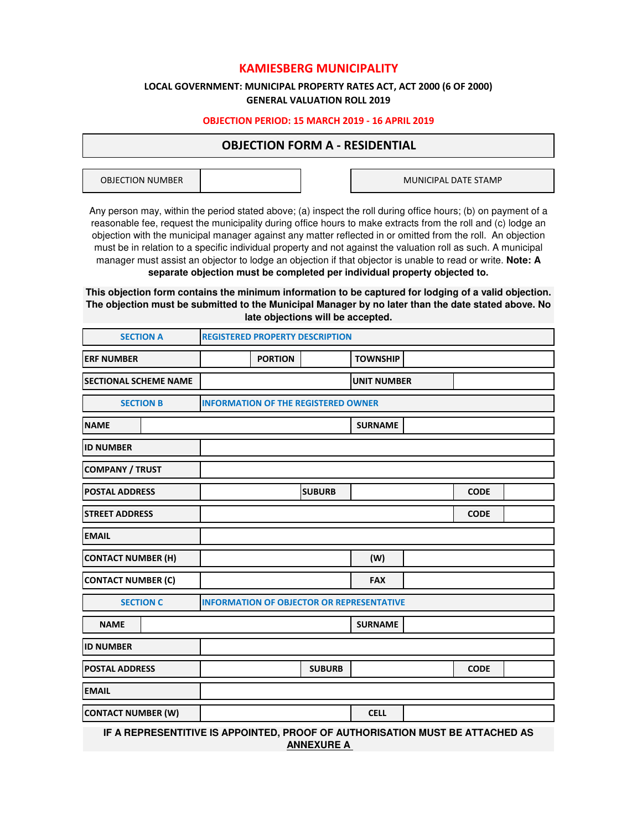# **KAMIESBERG MUNICIPALITY**

# **GENERAL VALUATION ROLL 2019 LOCAL GOVERNMENT: MUNICIPAL PROPERTY RATES ACT, ACT 2000 (6 OF 2000)**

# **OBJECTION PERIOD: 15 MARCH 2019 - 16 APRIL 2019**

# **OBJECTION FORM A - RESIDENTIAL**

OBJECTION NUMBER

MUNICIPAL DATE STAMP

Any person may, within the period stated above; (a) inspect the roll during office hours; (b) on payment of a reasonable fee, request the municipality during office hours to make extracts from the roll and (c) lodge an objection with the municipal manager against any matter reflected in or omitted from the roll. An objection must be in relation to a specific individual property and not against the valuation roll as such. A municipal manager must assist an objector to lodge an objection if that objector is unable to read or write. **Note: A separate objection must be completed per individual property objected to.**

**This objection form contains the minimum information to be captured for lodging of a valid objection. The objection must be submitted to the Municipal Manager by no later than the date stated above. No late objections will be accepted.**

| <b>SECTION A</b>             |                  | <b>REGISTERED PROPERTY DESCRIPTION</b>                                       |                                            |               |                    |  |             |  |
|------------------------------|------------------|------------------------------------------------------------------------------|--------------------------------------------|---------------|--------------------|--|-------------|--|
| <b>ERF NUMBER</b>            |                  |                                                                              | <b>PORTION</b>                             |               | <b>TOWNSHIP</b>    |  |             |  |
| <b>SECTIONAL SCHEME NAME</b> |                  |                                                                              |                                            |               | <b>UNIT NUMBER</b> |  |             |  |
|                              | <b>SECTION B</b> |                                                                              | <b>INFORMATION OF THE REGISTERED OWNER</b> |               |                    |  |             |  |
| <b>NAME</b>                  |                  |                                                                              |                                            |               | <b>SURNAME</b>     |  |             |  |
| <b>ID NUMBER</b>             |                  |                                                                              |                                            |               |                    |  |             |  |
| <b>COMPANY / TRUST</b>       |                  |                                                                              |                                            |               |                    |  |             |  |
| <b>POSTAL ADDRESS</b>        |                  |                                                                              |                                            | <b>SUBURB</b> |                    |  | <b>CODE</b> |  |
| <b>STREET ADDRESS</b>        |                  |                                                                              |                                            |               |                    |  | <b>CODE</b> |  |
| <b>EMAIL</b>                 |                  |                                                                              |                                            |               |                    |  |             |  |
| <b>CONTACT NUMBER (H)</b>    |                  |                                                                              |                                            |               | (W)                |  |             |  |
| <b>CONTACT NUMBER (C)</b>    |                  |                                                                              |                                            |               | <b>FAX</b>         |  |             |  |
|                              | <b>SECTION C</b> | <b>INFORMATION OF OBJECTOR OR REPRESENTATIVE</b>                             |                                            |               |                    |  |             |  |
| <b>NAME</b>                  |                  |                                                                              |                                            |               | <b>SURNAME</b>     |  |             |  |
| <b>ID NUMBER</b>             |                  |                                                                              |                                            |               |                    |  |             |  |
| <b>POSTAL ADDRESS</b>        |                  |                                                                              |                                            | <b>SUBURB</b> |                    |  | <b>CODE</b> |  |
| <b>EMAIL</b>                 |                  |                                                                              |                                            |               |                    |  |             |  |
| <b>CONTACT NUMBER (W)</b>    |                  |                                                                              |                                            |               | <b>CELL</b>        |  |             |  |
|                              |                  | IF A REPRESENTITIVE IS APPOINTED, PROOF OF AUTHORISATION MUST BE ATTACHED AS |                                            |               |                    |  |             |  |

**ANNEXURE A**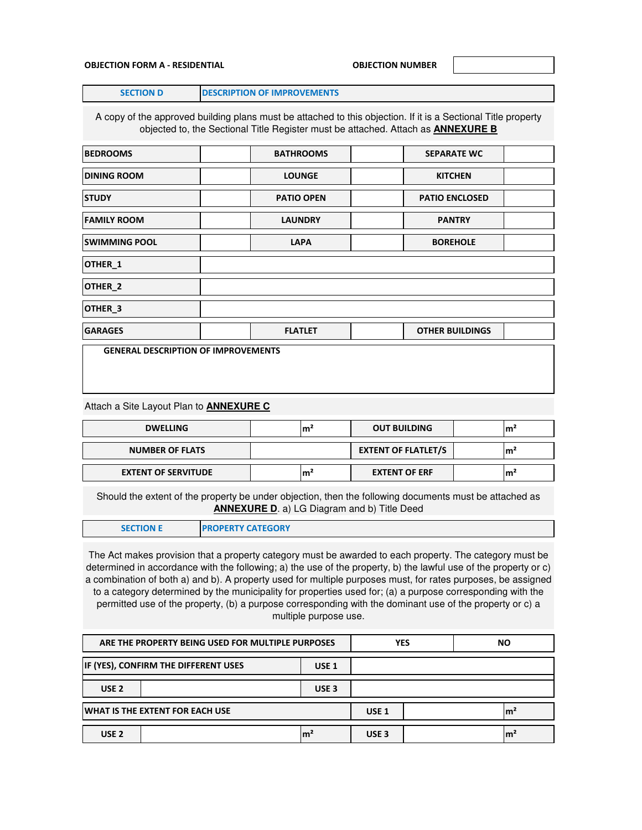### **OBJECTION FORM A - RESIDENTIAL OBJECTION NUMBER**

**SECTION D DESCRIPTION OF IMPROVEMENTS** 

A copy of the approved building plans must be attached to this objection. If it is a Sectional Title property objected to, the Sectional Title Register must be attached. Attach as **ANNEXURE B**

| <b>BEDROOMS</b>                            |  | <b>BATHROOMS</b>  |  | <b>SEPARATE WC</b>     |  |
|--------------------------------------------|--|-------------------|--|------------------------|--|
| <b>DINING ROOM</b>                         |  | <b>LOUNGE</b>     |  | <b>KITCHEN</b>         |  |
| <b>STUDY</b>                               |  | <b>PATIO OPEN</b> |  | <b>PATIO ENCLOSED</b>  |  |
| <b>FAMILY ROOM</b>                         |  | <b>LAUNDRY</b>    |  | <b>PANTRY</b>          |  |
| <b>SWIMMING POOL</b>                       |  | <b>LAPA</b>       |  | <b>BOREHOLE</b>        |  |
| OTHER_1                                    |  |                   |  |                        |  |
| OTHER_2                                    |  |                   |  |                        |  |
| OTHER_3                                    |  |                   |  |                        |  |
| <b>GARAGES</b>                             |  | <b>FLATLET</b>    |  | <b>OTHER BUILDINGS</b> |  |
| <b>GENERAL DESCRIPTION OF IMPROVEMENTS</b> |  |                   |  |                        |  |

Attach a Site Layout Plan to **ANNEXURE C**

| <b>DWELLING</b><br>m       |  |                            | <b>OUT BUILDING</b>  | ۱m  |
|----------------------------|--|----------------------------|----------------------|-----|
| <b>NUMBER OF FLATS</b>     |  | <b>EXTENT OF FLATLET/S</b> | ۱m                   |     |
| <b>EXTENT OF SERVITUDE</b> |  | m.                         | <b>EXTENT OF ERF</b> | lm' |

Should the extent of the property be under objection, then the following documents must be attached as **ANNEXURE D**. a) LG Diagram and b) Title Deed

| <b>SECTION E</b> | <b>PROPERTY CATEGORY</b> |
|------------------|--------------------------|
|                  |                          |

The Act makes provision that a property category must be awarded to each property. The category must be determined in accordance with the following; a) the use of the property, b) the lawful use of the property or c) a combination of both a) and b). A property used for multiple purposes must, for rates purposes, be assigned to a category determined by the municipality for properties used for; (a) a purpose corresponding with the permitted use of the property, (b) a purpose corresponding with the dominant use of the property or c) a multiple purpose use.

| ARE THE PROPERTY BEING USED FOR MULTIPLE PURPOSES        |  |                  | <b>YES</b>       |  | NΟ |  |
|----------------------------------------------------------|--|------------------|------------------|--|----|--|
| IF (YES), CONFIRM THE DIFFERENT USES<br>USE <sub>1</sub> |  |                  |                  |  |    |  |
| USE <sub>2</sub>                                         |  | USE <sub>3</sub> |                  |  |    |  |
| WHAT IS THE EXTENT FOR EACH USE                          |  |                  | USE <sub>1</sub> |  | m. |  |
| USE <sub>2</sub>                                         |  | m                | USE <sub>3</sub> |  |    |  |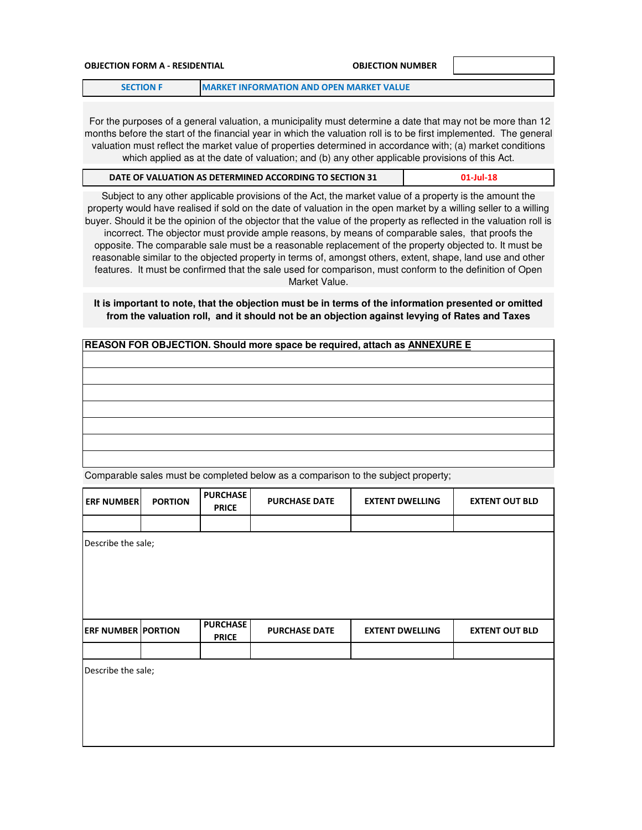# **OBJECTION FORM A - RESIDENTIAL OBJECTION NUMBER SECTION F MARKET INFORMATION AND OPEN MARKET VALUE**

 For the purposes of a general valuation, a municipality must determine a date that may not be more than 12 months before the start of the financial year in which the valuation roll is to be first implemented. The general valuation must reflect the market value of properties determined in accordance with; (a) market conditions which applied as at the date of valuation; and (b) any other applicable provisions of this Act.

| DATE OF VALUATION AS DETERMINED ACCORDING TO SECTION 31 | $01$ -Jul-18 |
|---------------------------------------------------------|--------------|
|                                                         |              |

Subject to any other applicable provisions of the Act, the market value of a property is the amount the property would have realised if sold on the date of valuation in the open market by a willing seller to a willing buyer. Should it be the opinion of the objector that the value of the property as reflected in the valuation roll is incorrect. The objector must provide ample reasons, by means of comparable sales, that proofs the opposite. The comparable sale must be a reasonable replacement of the property objected to. It must be reasonable similar to the objected property in terms of, amongst others, extent, shape, land use and other features. It must be confirmed that the sale used for comparison, must conform to the definition of Open Market Value.

# **It is important to note, that the objection must be in terms of the information presented or omitted from the valuation roll, and it should not be an objection against levying of Rates and Taxes**

| REASON FOR OBJECTION. Should more space be required, attach as ANNEXURE E |  |  |  |  |  |
|---------------------------------------------------------------------------|--|--|--|--|--|
|                                                                           |  |  |  |  |  |
|                                                                           |  |  |  |  |  |
|                                                                           |  |  |  |  |  |
|                                                                           |  |  |  |  |  |
|                                                                           |  |  |  |  |  |
|                                                                           |  |  |  |  |  |
|                                                                           |  |  |  |  |  |
|                                                                           |  |  |  |  |  |
|                                                                           |  |  |  |  |  |

Comparable sales must be completed below as a comparison to the subject property;

| <b>ERF NUMBER</b>         | <b>PORTION</b> | <b>PURCHASE</b><br><b>PRICE</b> | <b>PURCHASE DATE</b> | <b>EXTENT DWELLING</b> | <b>EXTENT OUT BLD</b> |
|---------------------------|----------------|---------------------------------|----------------------|------------------------|-----------------------|
|                           |                |                                 |                      |                        |                       |
| Describe the sale;        |                |                                 |                      |                        |                       |
|                           |                |                                 |                      |                        |                       |
|                           |                |                                 |                      |                        |                       |
|                           |                |                                 |                      |                        |                       |
|                           |                |                                 |                      |                        |                       |
| <b>ERF NUMBER PORTION</b> |                | <b>PURCHASE</b><br><b>PRICE</b> | <b>PURCHASE DATE</b> | <b>EXTENT DWELLING</b> | <b>EXTENT OUT BLD</b> |
|                           |                |                                 |                      |                        |                       |
| Describe the sale;        |                |                                 |                      |                        |                       |
|                           |                |                                 |                      |                        |                       |
|                           |                |                                 |                      |                        |                       |
|                           |                |                                 |                      |                        |                       |
|                           |                |                                 |                      |                        |                       |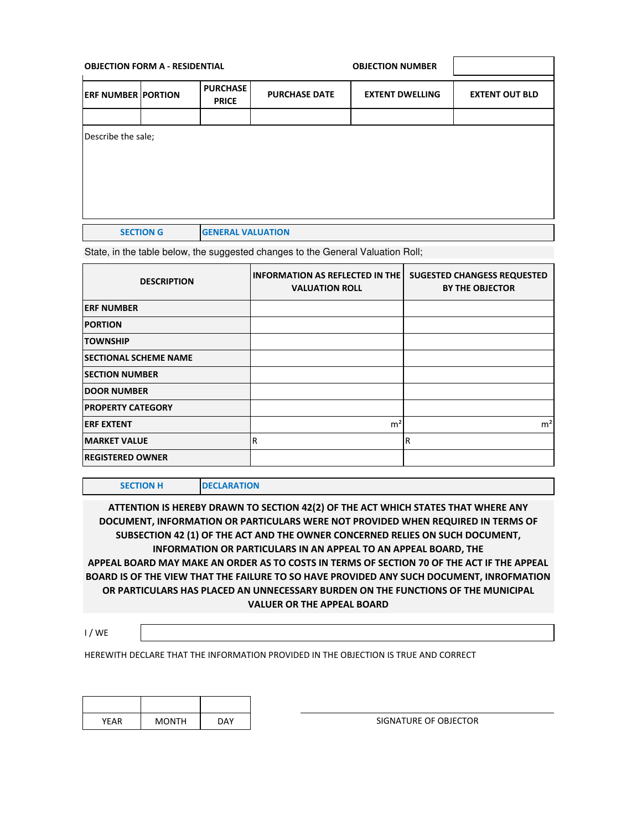| <b>OBJECTION FORM A - RESIDENTIAL</b> |  |                                 |                                                | <b>OBJECTION NUMBER</b> |                       |
|---------------------------------------|--|---------------------------------|------------------------------------------------|-------------------------|-----------------------|
| <b>ERF NUMBER PORTION</b>             |  | <b>PURCHASE</b><br><b>PRICE</b> | <b>PURCHASE DATE</b><br><b>EXTENT DWELLING</b> |                         | <b>EXTENT OUT BLD</b> |
|                                       |  |                                 |                                                |                         |                       |
| Describe the sale;                    |  |                                 |                                                |                         |                       |
|                                       |  |                                 |                                                |                         |                       |

State, in the table below, the suggested changes to the General Valuation Roll;

| <b>DESCRIPTION</b>           | <b>INFORMATION AS REFLECTED IN THE</b><br><b>VALUATION ROLL</b> | <b>SUGESTED CHANGESS REQUESTED</b><br><b>BY THE OBJECTOR</b> |
|------------------------------|-----------------------------------------------------------------|--------------------------------------------------------------|
| <b>ERF NUMBER</b>            |                                                                 |                                                              |
| <b>PORTION</b>               |                                                                 |                                                              |
| <b>TOWNSHIP</b>              |                                                                 |                                                              |
| <b>SECTIONAL SCHEME NAME</b> |                                                                 |                                                              |
| <b>SECTION NUMBER</b>        |                                                                 |                                                              |
| <b>DOOR NUMBER</b>           |                                                                 |                                                              |
| <b>PROPERTY CATEGORY</b>     |                                                                 |                                                              |
| <b>ERF EXTENT</b>            | m <sup>2</sup>                                                  | m <sup>2</sup>                                               |
| <b>MARKET VALUE</b>          | R                                                               | R                                                            |
| <b>REGISTERED OWNER</b>      |                                                                 |                                                              |

**SECTION H DECLARATION** 

**ATTENTION IS HEREBY DRAWN TO SECTION 42(2) OF THE ACT WHICH STATES THAT WHERE ANY DOCUMENT, INFORMATION OR PARTICULARS WERE NOT PROVIDED WHEN REQUIRED IN TERMS OF SUBSECTION 42 (1) OF THE ACT AND THE OWNER CONCERNED RELIES ON SUCH DOCUMENT, INFORMATION OR PARTICULARS IN AN APPEAL TO AN APPEAL BOARD, THE APPEAL BOARD MAY MAKE AN ORDER AS TO COSTS IN TERMS OF SECTION 70 OF THE ACT IF THE APPEAL BOARD IS OF THE VIEW THAT THE FAILURE TO SO HAVE PROVIDED ANY SUCH DOCUMENT, INROFMATION OR PARTICULARS HAS PLACED AN UNNECESSARY BURDEN ON THE FUNCTIONS OF THE MUNICIPAL VALUER OR THE APPEAL BOARD** 

I / WE

HEREWITH DECLARE THAT THE INFORMATION PROVIDED IN THE OBJECTION IS TRUE AND CORRECT

| YEAR | <b>MONTH</b> | <b>DAY</b> |
|------|--------------|------------|